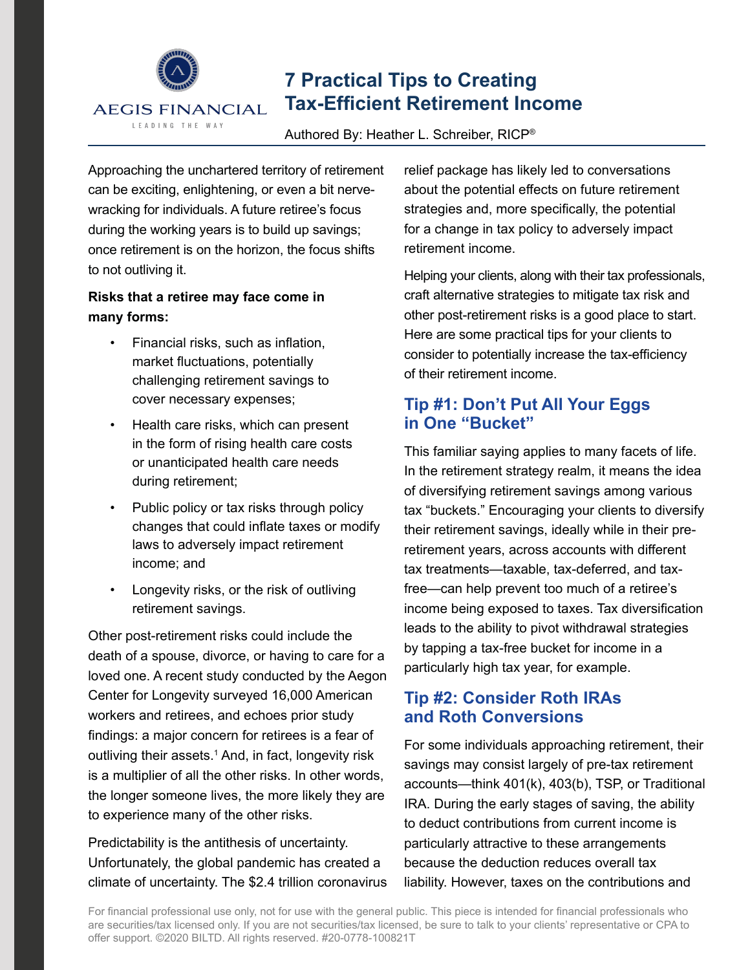

# **7 Practical Tips to Creating Tax-Efficient Retirement Income**

#### Authored By: Heather L. Schreiber, RICP®

Approaching the unchartered territory of retirement can be exciting, enlightening, or even a bit nervewracking for individuals. A future retiree's focus during the working years is to build up savings; once retirement is on the horizon, the focus shifts to not outliving it.

### **Risks that a retiree may face come in many forms:**

- Financial risks, such as inflation, market fluctuations, potentially challenging retirement savings to cover necessary expenses;
- Health care risks, which can present in the form of rising health care costs or unanticipated health care needs during retirement;
- Public policy or tax risks through policy changes that could inflate taxes or modify laws to adversely impact retirement income; and
- Longevity risks, or the risk of outliving retirement savings.

Other post-retirement risks could include the death of a spouse, divorce, or having to care for a loved one. A recent study conducted by the Aegon Center for Longevity surveyed 16,000 American workers and retirees, and echoes prior study findings: a major concern for retirees is a fear of outliving their assets.<sup>1</sup> And, in fact, longevity risk is a multiplier of all the other risks. In other words, the longer someone lives, the more likely they are to experience many of the other risks.

Predictability is the antithesis of uncertainty. Unfortunately, the global pandemic has created a climate of uncertainty. The \$2.4 trillion coronavirus relief package has likely led to conversations about the potential effects on future retirement strategies and, more specifically, the potential for a change in tax policy to adversely impact retirement income.

Helping your clients, along with their tax professionals, craft alternative strategies to mitigate tax risk and other post-retirement risks is a good place to start. Here are some practical tips for your clients to consider to potentially increase the tax-efficiency of their retirement income.

# **Tip #1: Don't Put All Your Eggs in One "Bucket"**

This familiar saying applies to many facets of life. In the retirement strategy realm, it means the idea of diversifying retirement savings among various tax "buckets." Encouraging your clients to diversify their retirement savings, ideally while in their preretirement years, across accounts with different tax treatments—taxable, tax-deferred, and taxfree—can help prevent too much of a retiree's income being exposed to taxes. Tax diversification leads to the ability to pivot withdrawal strategies by tapping a tax-free bucket for income in a particularly high tax year, for example.

# **Tip #2: Consider Roth IRAs and Roth Conversions**

For some individuals approaching retirement, their savings may consist largely of pre-tax retirement accounts—think 401(k), 403(b), TSP, or Traditional IRA. During the early stages of saving, the ability to deduct contributions from current income is particularly attractive to these arrangements because the deduction reduces overall tax liability. However, taxes on the contributions and

For financial professional use only, not for use with the general public. This piece is intended for financial professionals who are securities/tax licensed only. If you are not securities/tax licensed, be sure to talk to your clients' representative or CPA to offer support. ©2020 BILTD. All rights reserved. #20-0778-100821T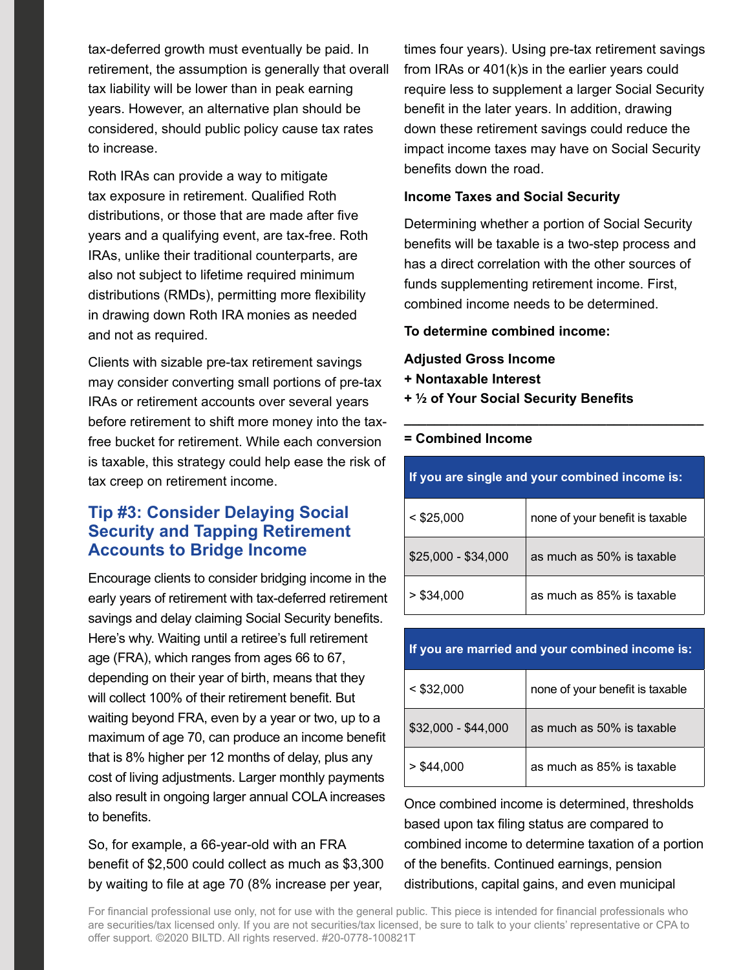tax-deferred growth must eventually be paid. In retirement, the assumption is generally that overall tax liability will be lower than in peak earning years. However, an alternative plan should be considered, should public policy cause tax rates to increase.

Roth IRAs can provide a way to mitigate tax exposure in retirement. Qualified Roth distributions, or those that are made after five years and a qualifying event, are tax-free. Roth IRAs, unlike their traditional counterparts, are also not subject to lifetime required minimum distributions (RMDs), permitting more flexibility in drawing down Roth IRA monies as needed and not as required.

Clients with sizable pre-tax retirement savings may consider converting small portions of pre-tax IRAs or retirement accounts over several years before retirement to shift more money into the taxfree bucket for retirement. While each conversion is taxable, this strategy could help ease the risk of tax creep on retirement income.

# **Tip #3: Consider Delaying Social Security and Tapping Retirement Accounts to Bridge Income**

Encourage clients to consider bridging income in the early years of retirement with tax-deferred retirement savings and delay claiming Social Security benefits. Here's why. Waiting until a retiree's full retirement age (FRA), which ranges from ages 66 to 67, depending on their year of birth, means that they will collect 100% of their retirement benefit. But waiting beyond FRA, even by a year or two, up to a maximum of age 70, can produce an income benefit that is 8% higher per 12 months of delay, plus any cost of living adjustments. Larger monthly payments also result in ongoing larger annual COLA increases to benefits.

So, for example, a 66-year-old with an FRA benefit of \$2,500 could collect as much as \$3,300 by waiting to file at age 70 (8% increase per year, times four years). Using pre-tax retirement savings from IRAs or 401(k)s in the earlier years could require less to supplement a larger Social Security benefit in the later years. In addition, drawing down these retirement savings could reduce the impact income taxes may have on Social Security benefits down the road.

#### **Income Taxes and Social Security**

Determining whether a portion of Social Security benefits will be taxable is a two-step process and has a direct correlation with the other sources of funds supplementing retirement income. First, combined income needs to be determined.

#### **To determine combined income:**

#### **Adjusted Gross Income**

- **+ Nontaxable Interest**
- **+ 1/2 of Your Social Security Benefits**

| If you are single and your combined income is: |                                 |
|------------------------------------------------|---------------------------------|
| $<$ \$25,000                                   | none of your benefit is taxable |
| $$25,000 - $34,000$                            | as much as 50% is taxable       |
| > \$34.000                                     | as much as 85% is taxable       |

**\_\_\_\_\_\_\_\_\_\_\_\_\_\_\_\_\_\_\_\_\_\_\_\_\_\_\_\_\_\_\_\_\_\_\_\_\_\_\_\_**

#### **If you are married and your combined income is:**

| $<$ \$32,000        | none of your benefit is taxable |
|---------------------|---------------------------------|
| \$32,000 - \$44,000 | as much as 50% is taxable       |
| $>$ \$44,000        | as much as 85% is taxable       |

Once combined income is determined, thresholds based upon tax filing status are compared to combined income to determine taxation of a portion of the benefits. Continued earnings, pension distributions, capital gains, and even municipal

For financial professional use only, not for use with the general public. This piece is intended for financial professionals who are securities/tax licensed only. If you are not securities/tax licensed, be sure to talk to your clients' representative or CPA to offer support. ©2020 BILTD. All rights reserved. #20-0778-100821T

#### **= Combined Income**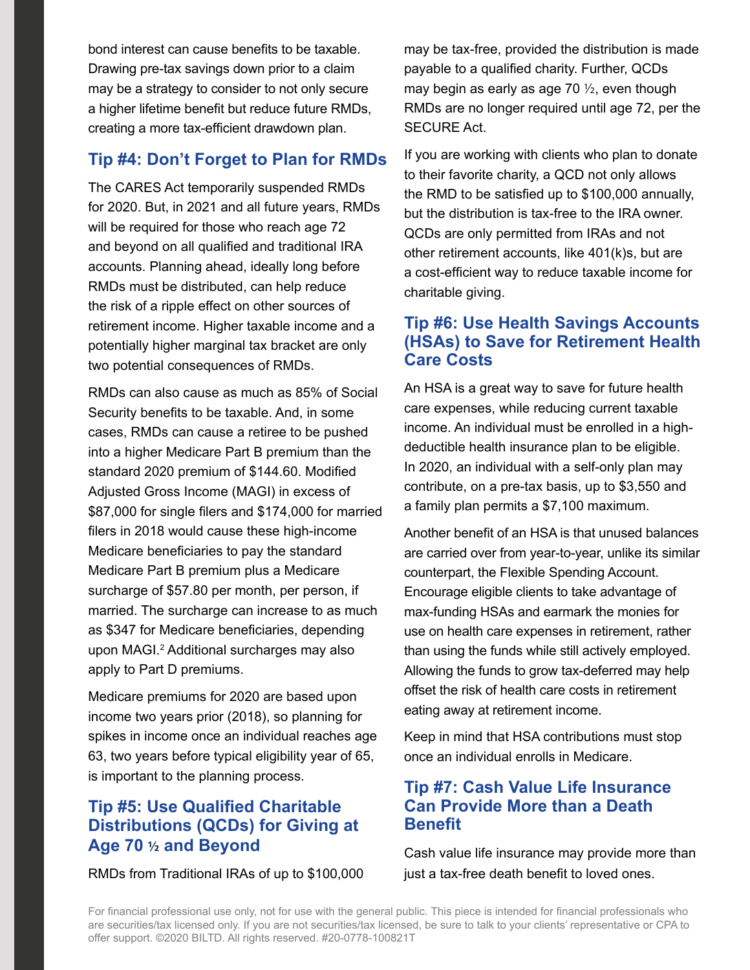bond interest can cause benefits to be taxable. Drawing pre-tax savings down prior to a claim may be a strategy to consider to not only secure a higher lifetime benefit but reduce future RMDs, creating a more tax-efficient drawdown plan.

### **Tip #4: Don't Forget to Plan for RMDs**

The CARES Act temporarily suspended RMDs for 2020. But, in 2021 and all future years, RMDs will be required for those who reach age 72 and beyond on all qualified and traditional IRA accounts. Planning ahead, ideally long before RMDs must be distributed, can help reduce the risk of a ripple effect on other sources of retirement income. Higher taxable income and a potentially higher marginal tax bracket are only two potential consequences of RMDs.

RMDs can also cause as much as 85% of Social Security benefits to be taxable. And, in some cases, RMDs can cause a retiree to be pushed into a higher Medicare Part B premium than the standard 2020 premium of \$144.60. Modified Adjusted Gross Income (MAGI) in excess of \$87,000 for single filers and \$174,000 for married filers in 2018 would cause these high-income Medicare beneficiaries to pay the standard Medicare Part B premium plus a Medicare surcharge of \$57.80 per month, per person, if married. The surcharge can increase to as much as \$347 for Medicare beneficiaries, depending upon MAGI.<sup>2</sup> Additional surcharges may also apply to Part D premiums.

Medicare premiums for 2020 are based upon income two years prior (2018), so planning for spikes in income once an individual reaches age 63, two years before typical eligibility year of 65, is important to the planning process.

# **Tip #5: Use Qualified Charitable Distributions (QCDs) for Giving at Age 70 1/2 and Beyond**

RMDs from Traditional IRAs of up to \$100,000

may be tax-free, provided the distribution is made payable to a qualified charity. Further, QCDs may begin as early as age 70  $\frac{1}{2}$ , even though RMDs are no longer required until age 72, per the SECURE Act.

If you are working with clients who plan to donate to their favorite charity, a QCD not only allows the RMD to be satisfied up to \$100,000 annually, but the distribution is tax-free to the IRA owner. QCDs are only permitted from IRAs and not other retirement accounts, like 401(k)s, but are a cost-efficient way to reduce taxable income for charitable giving.

## **Tip #6: Use Health Savings Accounts (HSAs) to Save for Retirement Health Care Costs**

An HSA is a great way to save for future health care expenses, while reducing current taxable income. An individual must be enrolled in a highdeductible health insurance plan to be eligible. In 2020, an individual with a self-only plan may contribute, on a pre-tax basis, up to \$3,550 and a family plan permits a \$7,100 maximum.

Another benefit of an HSA is that unused balances are carried over from year-to-year, unlike its similar counterpart, the Flexible Spending Account. Encourage eligible clients to take advantage of max-funding HSAs and earmark the monies for use on health care expenses in retirement, rather than using the funds while still actively employed. Allowing the funds to grow tax-deferred may help offset the risk of health care costs in retirement eating away at retirement income.

Keep in mind that HSA contributions must stop once an individual enrolls in Medicare.

### **Tip #7: Cash Value Life Insurance Can Provide More than a Death Benefit**

Cash value life insurance may provide more than just a tax-free death benefit to loved ones.

For financial professional use only, not for use with the general public. This piece is intended for financial professionals who are securities/tax licensed only. If you are not securities/tax licensed, be sure to talk to your clients' representative or CPA to offer support. ©2020 BILTD. All rights reserved. #20-0778-100821T